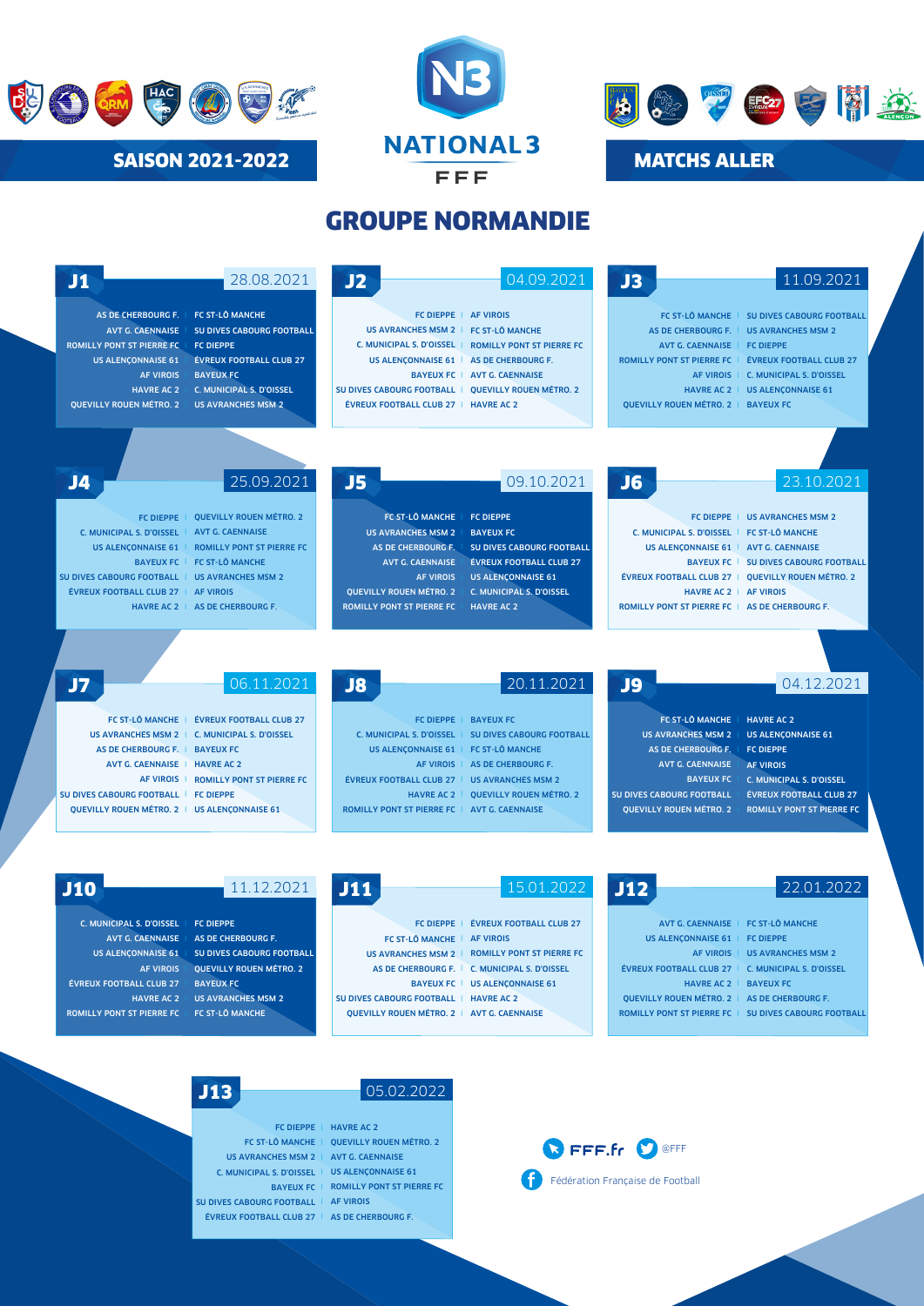





## GROUPE NORMANDIE

| J1                                                                                                                                                                                        | 28.08.2021                                                                                                                                                                                                                | J2                                                                                                                                                                                                      | 04.09.2021                                                                                                                                                                                                    | J3                                                                                                                                                                                                                    | 11.09.2021                                                                                                                                                                                             |
|-------------------------------------------------------------------------------------------------------------------------------------------------------------------------------------------|---------------------------------------------------------------------------------------------------------------------------------------------------------------------------------------------------------------------------|---------------------------------------------------------------------------------------------------------------------------------------------------------------------------------------------------------|---------------------------------------------------------------------------------------------------------------------------------------------------------------------------------------------------------------|-----------------------------------------------------------------------------------------------------------------------------------------------------------------------------------------------------------------------|--------------------------------------------------------------------------------------------------------------------------------------------------------------------------------------------------------|
| AS DE CHERBOURG F.<br><b>AVT G. CAENNAISE</b><br><b>ROMILLY PONT ST PIERRE FC</b><br><b>US ALENCONNAISE 61</b><br><b>AF VIROIS</b><br><b>HAVRE AC 2</b><br><b>OUEVILLY ROUEN MÉTRO. 2</b> | <b>FC ST-LÔ MANCHE</b><br><b>SU DIVES CABOURG FOOTBALL</b><br><b>FC DIEPPE</b><br><b>ÉVREUX FOOTBALL CLUB 27</b><br><b>BAYEUX FC</b><br>C. MUNICIPAL S. D'OISSEL<br><b>US AVRANCHES MSM 2</b>                             | FC DIEPPE   AF VIROIS<br>US AVRANCHES MSM 2   FC ST-LÔ MANCHE<br>US ALENCONNAISE 61   AS DE CHERBOURG F.<br>SU DIVES CABOURG FOOTBALL   OUEVILLY ROUEN MÉTRO. 2<br>ÉVREUX FOOTBALL CLUB 27   HAVRE AC 2 | C. MUNICIPAL S. D'OISSEL   ROMILLY PONT ST PIERRE FC<br>BAYEUX FC   AVT G. CAENNAISE                                                                                                                          | AS DE CHERBOURG F. I<br>AVT G. CAENNAISE   FC DIEPPE<br><b>ROMILLY PONT ST PIERRE FC</b><br>OUEVILLY ROUEN MÉTRO, 2   BAYEUX FC                                                                                       | FC ST-LÔ MANCHE   SU DIVES CABOURG FOOTBALL<br><b>US AVRANCHES MSM 2</b><br><b>ÉVREUX FOOTBALL CLUB 27</b><br>AF VIROIS   C. MUNICIPAL S. D'OISSEL<br>HAVRE AC 2   US ALENÇONNAISE 61                  |
| J4<br><b>FC DIEPPE</b><br><b>C. MUNICIPAL S. D'OISSEL</b><br><b>US ALENCONNAISE 61</b><br><b>BAYEUX FC</b><br><b>SU DIVES CABOURG FOOTBALL</b><br><b>ÉVREUX FOOTBALL CLUB 27</b>          | 25.09.2021<br><b>QUEVILLY ROUEN MÉTRO. 2</b><br><b>AVT G. CAENNAISE</b><br><b>ROMILLY PONT ST PIERRE FC</b><br><b>FC ST-LÔ MANCHE</b><br><b>US AVRANCHES MSM 2</b><br><b>AF VIROIS</b><br>HAVRE AC 2   AS DE CHERBOURG F. | J5<br>FC ST-LÔ MANCHE<br><b>US AVRANCHES MSM 2</b><br>AS DE CHERBOURG F.<br><b>AVT G. CAENNAISE</b><br><b>AF VIROIS</b><br><b>QUEVILLY ROUEN MÉTRO. 2</b><br><b>ROMILLY PONT ST PIERRE FC</b>           | 09.10.2021<br><b>FC DIEPPE</b><br><b>BAYEUX FC</b><br><b>SU DIVES CABOURG FOOTBALL</b><br><b>ÉVREUX FOOTBALL CLUB 27</b><br><b>US ALENCONNAISE 61</b><br><b>C. MUNICIPAL S. D'OISSEL</b><br><b>HAVRE AC 2</b> | J <sub>6</sub><br>C. MUNICIPAL S. D'OISSEL   FC ST-LÔ MANCHE<br>US ALENCONNAISE 61   AVT G. CAENNAISE<br><b>ÉVREUX FOOTBALL CLUB 27  </b><br>HAVRE AC 2   AF VIROIS<br>ROMILLY PONT ST PIERRE FC   AS DE CHERBOURG F. | 23.10.2021<br>FC DIEPPE   US AVRANCHES MSM 2<br>BAYEUX FC   SU DIVES CABOURG FOOTBALL<br><b>OUEVILLY ROUEN MÉTRO, 2</b>                                                                                |
| J7<br>AS DE CHERBOURG F. I<br><b>AVT G. CAENNAISE</b> I<br>SU DIVES CABOURG FOOTBALL  <br>QUEVILLY ROUEN MÉTRO. 2   US ALENÇONNAISE 61                                                    | 06.11.2021<br>FC ST-LÔ MANCHE   ÉVREUX FOOTBALL CLUB 27<br>US AVRANCHES MSM 2   C. MUNICIPAL S. D'OISSEL<br><b>BAYEUX FC</b><br><b>HAVRE AC 2</b><br>AF VIROIS   ROMILLY PONT ST PIERRE FC<br><b>FC DIEPPE</b>            | J8<br>C. MUNICIPAL S. D'OISSEL  <br>US ALENÇONNAISE 61   FC ST-LÔ MANCHE<br>AF VIROIS  <br><b>ÉVREUX FOOTBALL CLUB 27</b><br><b>HAVRE AC 2</b><br>ROMILLY PONT ST PIERRE FC   AVT G. CAENNAISE          | 20.11.2021<br>FC DIEPPE   BAYEUX FC<br><b>SU DIVES CABOURG FOOTBALL</b><br>AS DE CHERBOURG F.<br><b>US AVRANCHES MSM 2</b><br><b>OUEVILLY ROUEN MÉTRO, 2</b>                                                  | J9<br><b>FC ST-LÔ MANCHE</b><br><b>US AVRANCHES MSM 2</b><br>AS DE CHERBOURG F.<br><b>AVT G. CAENNAISE</b><br><b>BAYEUX FC</b><br><b>SU DIVES CABOURG FOOTBALL</b><br><b>QUEVILLY ROUEN MÉTRO. 2</b>                  | 04.12.2021<br><b>HAVRE AC 2</b><br><b>US ALENÇONNAISE 61</b><br><b>FC DIEPPE</b><br><b>AF VIROIS</b><br>C. MUNICIPAL S. D'OISSEL<br><b>ÉVREUX FOOTBALL CLUB 27</b><br><b>ROMILLY PONT ST PIERRE FC</b> |
| <b>J10</b>                                                                                                                                                                                | 11.12.2021                                                                                                                                                                                                                | J11                                                                                                                                                                                                     | 15.01.2022                                                                                                                                                                                                    | J12                                                                                                                                                                                                                   | 22.01.2022                                                                                                                                                                                             |

AVT G. CAENNAISE | AS DE CHERBOURG F. AF VIROIS ÉVREUX FOOTBALL CLUB 27 HAVRE AC 2 ROMILLY PONT ST PIERRE FC | FC ST-LÔ MANCHE

US ALENÇONNAISE 61 SU DIVES CABOURG FOOTBALL QUEVILLY ROUEN MÉTRO. 2 BAYEUX FC US AVRANCHES MSM 2

FC ST-LÔ MANCHE | AF VIROIS SU DIVES CABOURG FOOTBALL | HAVRE AC 2 QUEVILLY ROUEN MÉTRO. 2 | AVT G. CAENNAISE

US AVRANCHES MSM 2 | ROMILLY PONT ST PIERRE FO AS DE CHERBOURG F. C. MUNICIPAL S. D'OISSEL I BAYEUX FC | US ALENÇONNAISE 61

US ALENÇONNAISE 61 | FC DIEPPE AF VIROIS | US AVRANCHES MSM 2 ÉVREUX FOOTBALL CLUB 27 | C. MUNICIPAL S. D'OISSEL

HAVRE AC 2 | BAYEUX FO QUEVILLY ROUEN MÉTRO. 2 | AS DE CHERBOURG F. ROMILLY PONT ST PIERRE FC | SU DIVES CABOURG FOOTBALL

FC ST-LÔ MANCHE US AVRANCHES MSM 2 C. MUNICIPAL S. D'OISSEL | US ALENÇONNAISE 61 SU DIVES CABOURG FOOTBALL | AF VIROIS ÉVREUX FOOTBALL CLUB 27 | AS DE CHERBOURG F.

**J13** 05.02.2022

FC DIEPPE | HAVRE AC 2 BAYEUX FC | ROMILLY PONT ST PIERRE FC QUEVILLY ROUEN MÉTRO. 2 AVT G. CAENNAISE

**O**FFF.fr CO OFFF Fédération Française de Football